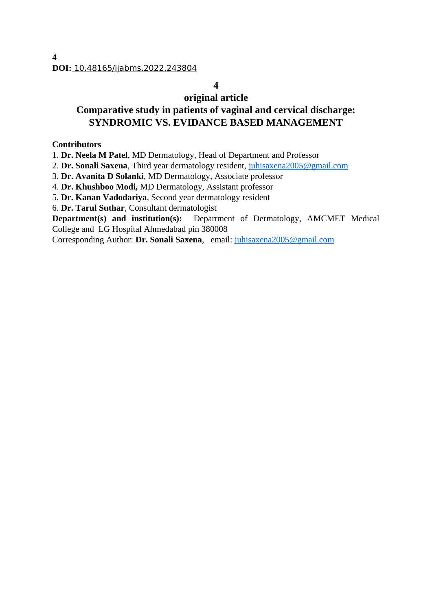# **4**

# **original article Comparative study in patients of vaginal and cervical discharge: SYNDROMIC VS. EVIDANCE BASED MANAGEMENT**

#### **Contributors**

1. **Dr. Neela M Patel**, MD Dermatology, Head of Department and Professor

2. **Dr. Sonali Saxena**, Third year dermatology resident, [juhisaxena2005@gmail.com](mailto:juhisaxena2005@gmail.com)

3. **Dr. Avanita D Solanki**, MD Dermatology, Associate professor

4. **Dr. Khushboo Modi,** MD Dermatology, Assistant professor

5. **Dr. Kanan Vadodariya**, Second year dermatology resident

6. **Dr. Tarul Suthar**, Consultant dermatologist

**Department(s) and institution(s):** Department of Dermatology, AMCMET Medical College and LG Hospital Ahmedabad pin 380008

Corresponding Author: **Dr. Sonali Saxena**, email: [juhisaxena2005@gmail.com](mailto:juhisaxena2005@gmail.com)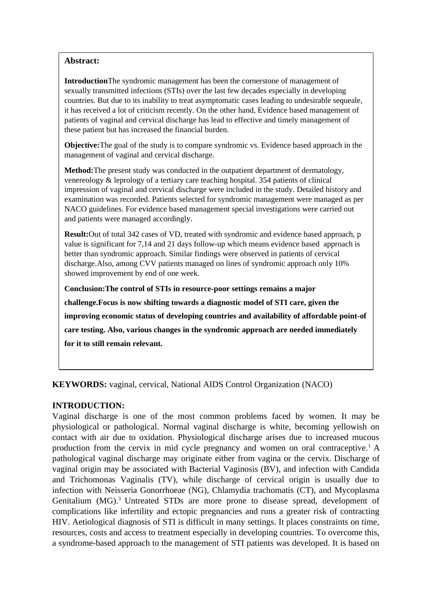#### **Abstract:**

**Introduction**The syndromic management has been the cornerstone of management of sexually transmitted infections (STIs) over the last few decades especially in developing countries. But due to its inability to treat asymptomatic cases leading to undesirable sequeale, it has received a lot of criticism recently. On the other hand, Evidence based management of patients of vaginal and cervical discharge has lead to effective and timely management of these patient but has increased the financial burden.

**Objective:**The goal of the study is to compare syndromic vs. Evidence based approach in the management of vaginal and cervical discharge.

**Method:**The present study was conducted in the outpatient department of dermatology, venereology & leprology of a tertiary care teaching hospital. 354 patients of clinical impression of vaginal and cervical discharge were included in the study. Detailed history and examination was recorded. Patients selected for syndromic management were managed as per NACO guidelines. For evidence based management special investigations were carried out and patients were managed accordingly.

**Result:**Out of total 342 cases of VD, treated with syndromic and evidence based approach, p value is significant for 7,14 and 21 days follow-up which means evidence based approach is better than syndromic approach. Similar findings were observed in patients of cervical discharge.Also, among CVV patients managed on lines of syndromic approach only 10% showed improvement by end of one week.

**Conclusion:The control of STIs in resource-poor settings remains a major** 

**challenge.Focus is now shifting towards a diagnostic model of STI care, given the improving economic status of developing countries and availability of affordable point-of care testing. Also, various changes in the syndromic approach are needed immediately for it to still remain relevant.**

**KEYWORDS:** vaginal, cervical, National AIDS Control Organization (NACO)

# **INTRODUCTION:**

Vaginal discharge is one of the most common problems faced by women. It may be physiological or pathological. Normal vaginal discharge is white, becoming yellowish on contact with air due to oxidation. Physiological discharge arises due to increased mucous production from the cervix in mid cycle pregnancy and women on oral contraceptive.<sup>1</sup> A pathological vaginal discharge may originate either from vagina or the cervix. Discharge of vaginal origin may be associated with Bacterial Vaginosis (BV), and infection with Candida and Trichomonas Vaginalis (TV), while discharge of cervical origin is usually due to infection with Neisseria Gonorrhoeae (NG), Chlamydia trachomatis (CT), and Mycoplasma Genitalium  $(MG)$ .<sup>3</sup> Untreated STDs are more prone to disease spread, development of complications like infertility and ectopic pregnancies and runs a greater risk of contracting HIV. Aetiological diagnosis of STI is difficult in many settings. It places constraints on time, resources, costs and access to treatment especially in developing countries. To overcome this, a syndrome-based approach to the management of STI patients was developed. It is based on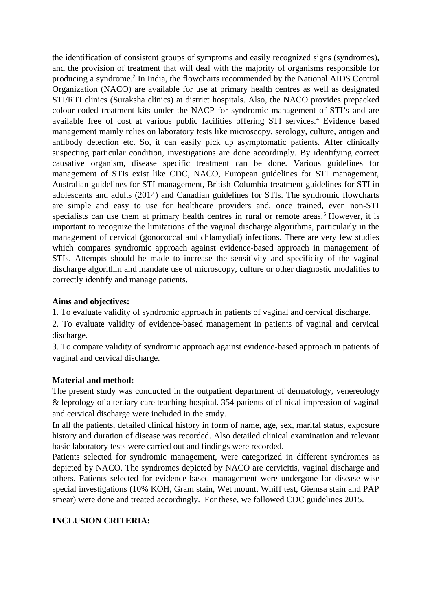the identification of consistent groups of symptoms and easily recognized signs (syndromes), and the provision of treatment that will deal with the majority of organisms responsible for producing a syndrome.<sup>2</sup> In India, the flowcharts recommended by the National AIDS Control Organization (NACO) are available for use at primary health centres as well as designated STI/RTI clinics (Suraksha clinics) at district hospitals. Also, the NACO provides prepacked colour-coded treatment kits under the NACP for syndromic management of STI's and are available free of cost at various public facilities offering STI services.<sup>4</sup> Evidence based management mainly relies on laboratory tests like microscopy, serology, culture, antigen and antibody detection etc. So, it can easily pick up asymptomatic patients. After clinically suspecting particular condition, investigations are done accordingly. By identifying correct causative organism, disease specific treatment can be done. Various guidelines for management of STIs exist like CDC, NACO, European guidelines for STI management, Australian guidelines for STI management, British Columbia treatment guidelines for STI in adolescents and adults (2014) and Canadian guidelines for STIs. The syndromic flowcharts are simple and easy to use for healthcare providers and, once trained, even non-STI specialists can use them at primary health centres in rural or remote areas.<sup>5</sup> However, it is important to recognize the limitations of the vaginal discharge algorithms, particularly in the management of cervical (gonococcal and chlamydial) infections. There are very few studies which compares syndromic approach against evidence-based approach in management of STIs. Attempts should be made to increase the sensitivity and specificity of the vaginal discharge algorithm and mandate use of microscopy, culture or other diagnostic modalities to correctly identify and manage patients.

# **Aims and objectives:**

1. To evaluate validity of syndromic approach in patients of vaginal and cervical discharge.

2. To evaluate validity of evidence-based management in patients of vaginal and cervical discharge.

3. To compare validity of syndromic approach against evidence-based approach in patients of vaginal and cervical discharge.

# **Material and method:**

The present study was conducted in the outpatient department of dermatology, venereology & leprology of a tertiary care teaching hospital. 354 patients of clinical impression of vaginal and cervical discharge were included in the study.

In all the patients, detailed clinical history in form of name, age, sex, marital status, exposure history and duration of disease was recorded. Also detailed clinical examination and relevant basic laboratory tests were carried out and findings were recorded.

Patients selected for syndromic management, were categorized in different syndromes as depicted by NACO. The syndromes depicted by NACO are cervicitis, vaginal discharge and others. Patients selected for evidence-based management were undergone for disease wise special investigations (10% KOH, Gram stain, Wet mount, Whiff test, Giemsa stain and PAP smear) were done and treated accordingly. For these, we followed CDC guidelines 2015.

# **INCLUSION CRITERIA:**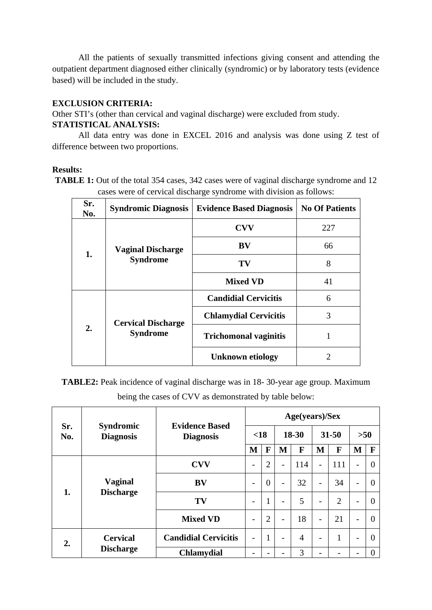All the patients of sexually transmitted infections giving consent and attending the outpatient department diagnosed either clinically (syndromic) or by laboratory tests (evidence based) will be included in the study.

#### **EXCLUSION CRITERIA:**

Other STI's (other than cervical and vaginal discharge) were excluded from study.

#### **STATISTICAL ANALYSIS:**

All data entry was done in EXCEL 2016 and analysis was done using Z test of difference between two proportions.

#### **Results:**

**TABLE 1:** Out of the total 354 cases, 342 cases were of vaginal discharge syndrome and 12 cases were of cervical discharge syndrome with division as follows:

| Sr.<br>No. | <b>Syndromic Diagnosis</b>                  | <b>Evidence Based Diagnosis</b> | <b>No Of Patients</b> |
|------------|---------------------------------------------|---------------------------------|-----------------------|
|            |                                             | <b>CVV</b>                      | 227                   |
| 1.         | <b>Vaginal Discharge</b><br><b>Syndrome</b> | BV                              | 66                    |
|            |                                             | TV                              | 8                     |
|            |                                             | <b>Mixed VD</b>                 | 41                    |
|            |                                             | <b>Candidial Cervicitis</b>     | 6                     |
|            | <b>Cervical Discharge</b>                   | <b>Chlamydial Cervicitis</b>    | 3                     |
| 2.         | <b>Syndrome</b>                             | <b>Trichomonal vaginitis</b>    | 1                     |
|            |                                             | <b>Unknown etiology</b>         | 2                     |

**TABLE2:** Peak incidence of vaginal discharge was in 18- 30-year age group. Maximum being the cases of CVV as demonstrated by table below:

|            |                                      |                                           | Age(years)/Sex           |                |                              |                |                          |                |   |       |  |
|------------|--------------------------------------|-------------------------------------------|--------------------------|----------------|------------------------------|----------------|--------------------------|----------------|---|-------|--|
| Sr.<br>No. | <b>Syndromic</b><br><b>Diagnosis</b> | <b>Evidence Based</b><br><b>Diagnosis</b> |                          | $\leq 18$      |                              | 18-30          |                          | 31-50          |   | $>50$ |  |
|            |                                      |                                           |                          | F              | M                            | F              | M                        | F              | M | F     |  |
|            | <b>Vaginal</b>                       | <b>CVV</b>                                | -                        | $\overline{2}$ | $\qquad \qquad \blacksquare$ | 114            | $\overline{\phantom{0}}$ | 111            | ۰ | 0     |  |
|            |                                      | <b>BV</b>                                 | -                        | $\overline{0}$ | $\overline{\phantom{0}}$     | 32             | $\overline{\phantom{a}}$ | 34             | - | 0     |  |
| 1.         | <b>Discharge</b>                     | TV                                        | $\overline{\phantom{0}}$ | $\overline{1}$ | $\overline{\phantom{0}}$     | 5              | $\overline{\phantom{0}}$ | $\overline{2}$ | - | 0     |  |
|            |                                      | <b>Mixed VD</b>                           | -                        | $\overline{2}$ | $\overline{\phantom{a}}$     | 18             | $\overline{\phantom{a}}$ | 21             | - | 0     |  |
| 2.         | <b>Cervical</b><br><b>Discharge</b>  | <b>Candidial Cervicitis</b>               | $\overline{\phantom{0}}$ | $\overline{1}$ | -                            | $\overline{4}$ | -                        | $\overline{1}$ | - | 0     |  |
|            |                                      | <b>Chlamydial</b>                         | -                        |                |                              | 3              |                          |                |   | 0     |  |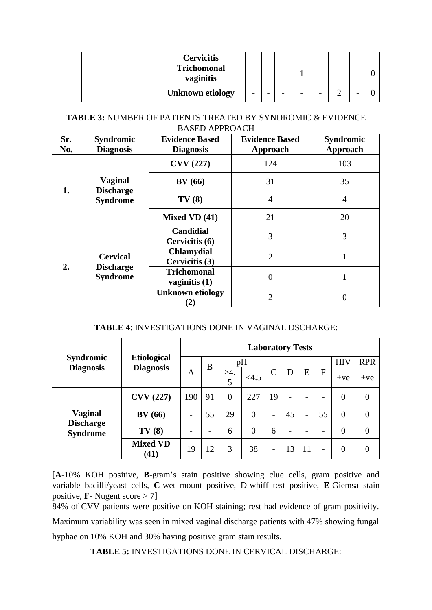|  | <b>Cervicitis</b>               |   |   |                          |   |   |   |   |  |
|--|---------------------------------|---|---|--------------------------|---|---|---|---|--|
|  | <b>Trichomonal</b><br>vaginitis | - | - | -                        |   | - | - | - |  |
|  | <b>Unknown etiology</b>         | - | - | $\overline{\phantom{a}}$ | - | - | ∽ | - |  |

#### **TABLE 3:** NUMBER OF PATIENTS TREATED BY SYNDROMIC & EVIDENCE BASED APPROACH

| Sr.<br>No. | <b>Syndromic</b><br><b>Diagnosis</b> | <b>Evidence Based</b><br><b>Diagnosis</b> | <b>Evidence Based</b><br><b>Approach</b> | <b>Syndromic</b><br><b>Approach</b> |  |
|------------|--------------------------------------|-------------------------------------------|------------------------------------------|-------------------------------------|--|
|            |                                      | <b>CVV</b> (227)                          | 124                                      | 103                                 |  |
| 1.         | <b>Vaginal</b>                       | BV(66)                                    | 31                                       | 35                                  |  |
|            | <b>Discharge</b><br><b>Syndrome</b>  | TV(8)                                     | $\overline{\mathcal{A}}$                 | $\overline{4}$                      |  |
|            |                                      | <b>Mixed VD (41)</b>                      | 21                                       | 20                                  |  |
|            |                                      | <b>Candidial</b><br>Cervicitis (6)        | 3                                        | 3                                   |  |
|            | <b>Cervical</b>                      | <b>Chlamydial</b><br>Cervicitis (3)       | $\overline{2}$                           |                                     |  |
| 2.         | <b>Discharge</b><br><b>Syndrome</b>  | <b>Trichomonal</b><br>vaginitis (1)       | $\theta$                                 | 1                                   |  |
|            |                                      | <b>Unknown etiology</b><br>$\mathbf{Z}$   | $\overline{2}$                           | 0                                   |  |

# **TABLE 4**: INVESTIGATIONS DONE IN VAGINAL DSCHARGE:

|                                      |                                        | <b>Laboratory Tests</b>  |    |                |                |                              |                          |                |    |                |                  |  |
|--------------------------------------|----------------------------------------|--------------------------|----|----------------|----------------|------------------------------|--------------------------|----------------|----|----------------|------------------|--|
| <b>Syndromic</b><br><b>Diagnosis</b> | <b>Etiological</b><br><b>Diagnosis</b> |                          | B  | pH             |                |                              |                          |                |    | <b>HIV</b>     | <b>RPR</b>       |  |
|                                      |                                        | A                        |    | $>4$ .<br>5    | < 4.5          | C                            | D                        | E              | F  | $+ve$          | $+ve$            |  |
|                                      | <b>CVV</b> (227)                       | 190                      | 91 | $\overline{0}$ | 227            | 19                           | -                        |                | -  | $\overline{0}$ | $\overline{0}$   |  |
| <b>Vaginal</b>                       | <b>BV</b> (66)                         | $\overline{\phantom{0}}$ | 55 | 29             | $\overline{0}$ | $\qquad \qquad \blacksquare$ | 45                       | $\overline{a}$ | 55 | $\overline{0}$ | $\overline{0}$   |  |
| <b>Discharge</b><br><b>Syndrome</b>  | TV(8)                                  |                          | -  | 6              | $\overline{0}$ | 6                            | $\overline{\phantom{0}}$ |                |    | $\overline{0}$ | $\boldsymbol{0}$ |  |
|                                      | <b>Mixed VD</b><br>(41)                | 19                       | 12 | 3              | 38             | $\overline{\phantom{a}}$     | 13                       | 11             | -  | $\theta$       | 0                |  |

[**A**-10% KOH positive, **B**-gram's stain positive showing clue cells, gram positive and variable bacilli/yeast cells, **C**-wet mount positive, D-whiff test positive, **E**-Giemsa stain positive, **F**- Nugent score > 7]

84% of CVV patients were positive on KOH staining; rest had evidence of gram positivity. Maximum variability was seen in mixed vaginal discharge patients with 47% showing fungal hyphae on 10% KOH and 30% having positive gram stain results.

**TABLE 5:** INVESTIGATIONS DONE IN CERVICAL DISCHARGE: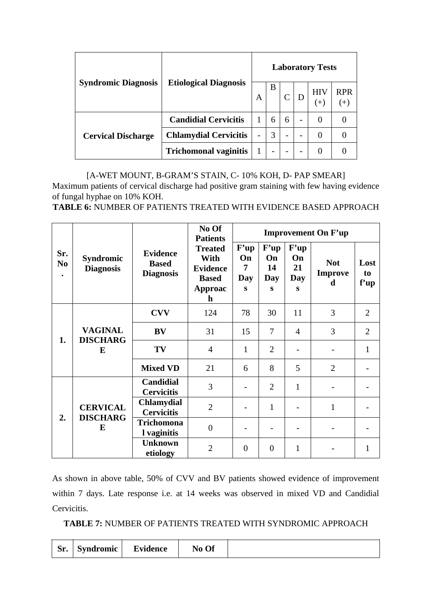|                            |                              | <b>Laboratory Tests</b>  |   |   |   |                     |                     |  |  |  |
|----------------------------|------------------------------|--------------------------|---|---|---|---------------------|---------------------|--|--|--|
| <b>Syndromic Diagnosis</b> | <b>Etiological Diagnosis</b> |                          | В |   |   | <b>HIV</b><br>$(+)$ | <b>RPR</b><br>$(+)$ |  |  |  |
|                            | <b>Candidial Cervicitis</b>  |                          | 6 | 6 | - | $\theta$            |                     |  |  |  |
| <b>Cervical Discharge</b>  | <b>Chlamydial Cervicitis</b> | $\overline{\phantom{0}}$ | 3 |   |   |                     |                     |  |  |  |
|                            | <b>Trichomonal vaginitis</b> |                          | - |   |   |                     |                     |  |  |  |

[A-WET MOUNT, B-GRAM'S STAIN, C-10% KOH, D- PAP SMEAR] Maximum patients of cervical discharge had positive gram staining with few having evidence of fungal hyphae on 10% KOH.

**TABLE 6:** NUMBER OF PATIENTS TREATED WITH EVIDENCE BASED APPROACH

|                                    |                                      |                                                     | No Of<br><b>Patients</b>                                                                   | <b>Improvement On F'up</b>  |                              |                                     |                                   |                                |  |  |  |
|------------------------------------|--------------------------------------|-----------------------------------------------------|--------------------------------------------------------------------------------------------|-----------------------------|------------------------------|-------------------------------------|-----------------------------------|--------------------------------|--|--|--|
| Sr.<br>N <sub>0</sub><br>$\bullet$ | <b>Syndromic</b><br><b>Diagnosis</b> | <b>Evidence</b><br><b>Based</b><br><b>Diagnosis</b> | <b>Treated</b><br>With<br><b>Evidence</b><br><b>Based</b><br><b>Approac</b><br>$\mathbf h$ | F'up<br>On<br>7<br>Day<br>S | F'up<br>On<br>14<br>Day<br>S | F'up<br>On<br>21<br><b>Day</b><br>S | <b>Not</b><br><b>Improve</b><br>d | Lost<br>t <sub>o</sub><br>f'up |  |  |  |
|                                    |                                      | <b>CVV</b>                                          | 124                                                                                        | 78                          | 30                           | 11                                  | 3                                 | $\overline{2}$                 |  |  |  |
| 1.                                 | <b>VAGINAL</b><br><b>DISCHARG</b>    | <b>BV</b>                                           | 31                                                                                         | 15                          | 7                            | $\overline{4}$                      | 3                                 | $\overline{2}$                 |  |  |  |
|                                    | E                                    | TV                                                  | $\overline{4}$                                                                             | $\mathbf{1}$                | $\overline{2}$               |                                     |                                   | $\mathbf{1}$                   |  |  |  |
|                                    |                                      | <b>Mixed VD</b>                                     | 21                                                                                         | 6                           | 8                            | 5                                   | $\overline{2}$                    |                                |  |  |  |
|                                    |                                      | <b>Candidial</b><br><b>Cervicitis</b>               | 3                                                                                          |                             | $\overline{2}$               | $\mathbf{1}$                        |                                   |                                |  |  |  |
|                                    | <b>CERVICAL</b>                      | <b>Chlamydial</b><br><b>Cervicitis</b>              | $\overline{2}$                                                                             |                             | $\mathbf{1}$                 |                                     | $\mathbf{1}$                      |                                |  |  |  |
| 2.                                 | <b>DISCHARG</b><br>E                 | <b>Trichomona</b><br>I vaginitis                    | $\mathbf{0}$                                                                               |                             |                              |                                     |                                   |                                |  |  |  |
|                                    |                                      | <b>Unknown</b><br>etiology                          | $\overline{2}$                                                                             | $\overline{0}$              | $\overline{0}$               | $\mathbf{1}$                        |                                   | $\mathbf{1}$                   |  |  |  |

As shown in above table, 50% of CVV and BV patients showed evidence of improvement within 7 days. Late response i.e. at 14 weeks was observed in mixed VD and Candidial Cervicitis.

**TABLE 7:** NUMBER OF PATIENTS TREATED WITH SYNDROMIC APPROACH

| Sr. | Syndromic | <b>Evidence</b> | No Of |  |
|-----|-----------|-----------------|-------|--|
|     |           |                 |       |  |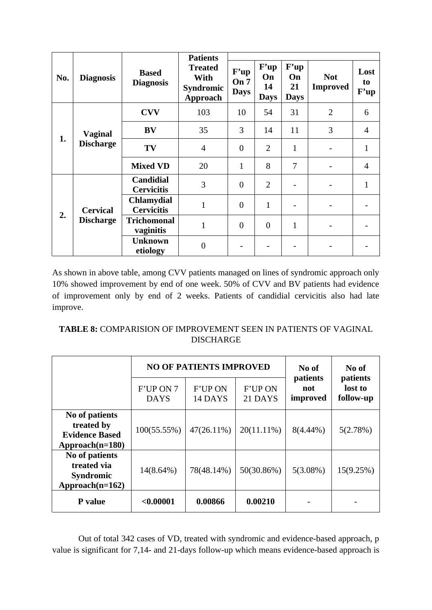|     |                  |                                        | <b>Patients</b>                                               |                             |                                 |                                 |                               |                    |
|-----|------------------|----------------------------------------|---------------------------------------------------------------|-----------------------------|---------------------------------|---------------------------------|-------------------------------|--------------------|
| No. | <b>Diagnosis</b> | <b>Based</b><br><b>Diagnosis</b>       | <b>Treated</b><br>With<br><b>Syndromic</b><br><b>Approach</b> | F'up<br>On 7<br><b>Days</b> | F'up<br>On<br>14<br><b>Days</b> | F'up<br>On<br>21<br><b>Days</b> | <b>Not</b><br><b>Improved</b> | Lost<br>to<br>F'up |
| 1.  |                  | <b>CVV</b>                             | 103                                                           | 10                          | 54                              | 31                              | $\overline{2}$                | 6                  |
|     | <b>Vaginal</b>   | BV                                     | 35                                                            | 3                           | 14                              | 11                              | 3                             | $\overline{4}$     |
|     | <b>Discharge</b> | TV                                     | $\overline{4}$                                                | $\overline{0}$              | $\overline{2}$                  | $\mathbf{1}$                    |                               | $\mathbf{1}$       |
|     |                  | <b>Mixed VD</b>                        | 20                                                            | $\mathbf{1}$                | 8                               | 7                               |                               | $\overline{4}$     |
|     |                  | <b>Candidial</b><br><b>Cervicitis</b>  | 3                                                             | $\theta$                    | $\overline{2}$                  |                                 |                               | $\mathbf{1}$       |
|     | <b>Cervical</b>  | <b>Chlamydial</b><br><b>Cervicitis</b> | $\overline{1}$                                                | $\overline{0}$              | $\mathbf{1}$                    |                                 |                               |                    |
| 2.  | <b>Discharge</b> | <b>Trichomonal</b><br>vaginitis        | $\mathbf{1}$                                                  | $\overline{0}$              | $\overline{0}$                  | $\mathbf{1}$                    |                               |                    |
|     |                  | <b>Unknown</b><br>etiology             | $\overline{0}$                                                |                             |                                 |                                 |                               |                    |

As shown in above table, among CVV patients managed on lines of syndromic approach only 10% showed improvement by end of one week. 50% of CVV and BV patients had evidence of improvement only by end of 2 weeks. Patients of candidial cervicitis also had late improve.

# **TABLE 8:** COMPARISION OF IMPROVEMENT SEEN IN PATIENTS OF VAGINAL DISCHARGE

|                                                                          |                          | <b>NO OF PATIENTS IMPROVED</b> |                           | No of                       | No of                            |  |
|--------------------------------------------------------------------------|--------------------------|--------------------------------|---------------------------|-----------------------------|----------------------------------|--|
|                                                                          | F'UP ON 7<br><b>DAYS</b> | <b>F'UP ON</b><br>14 DAYS      | <b>F'UP ON</b><br>21 DAYS | patients<br>not<br>improved | patients<br>lost to<br>follow-up |  |
| No of patients<br>treated by<br><b>Evidence Based</b><br>Approach(n=180) | 100(55.55%)              | 47(26.11%)                     | 20(11.11%)                | 8(4.44%)                    | 5(2.78%)                         |  |
| No of patients<br>treated via<br><b>Syndromic</b><br>Approach(n=162)     | 14(8.64%)                | 78(48.14%)                     | 50(30.86%)                | 5(3.08%)                    | 15(9.25%)                        |  |
| P value                                                                  | $0.00001$                | 0.00866                        | 0.00210                   |                             |                                  |  |

Out of total 342 cases of VD, treated with syndromic and evidence-based approach, p value is significant for 7,14- and 21-days follow-up which means evidence-based approach is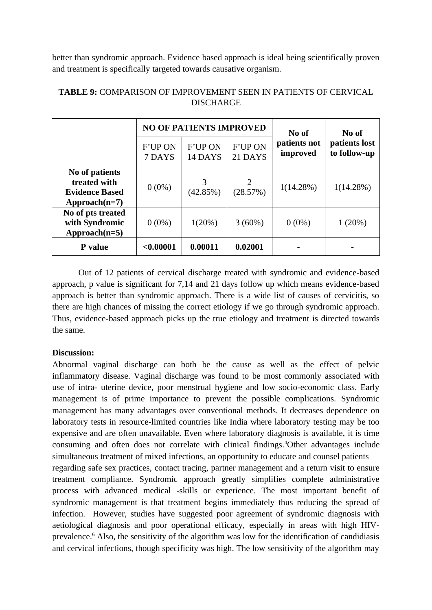better than syndromic approach. Evidence based approach is ideal being scientifically proven and treatment is specifically targeted towards causative organism.

|                                                                           |                          | <b>NO OF PATIENTS IMPROVED</b> |                           | No of                    | No of                         |  |
|---------------------------------------------------------------------------|--------------------------|--------------------------------|---------------------------|--------------------------|-------------------------------|--|
|                                                                           | <b>F'UP ON</b><br>7 DAYS | <b>F'UP ON</b><br>14 DAYS      | <b>F'UP ON</b><br>21 DAYS | patients not<br>improved | patients lost<br>to follow-up |  |
| No of patients<br>treated with<br><b>Evidence Based</b><br>$Approad(n=7)$ | $0(0\%)$                 | З<br>(42.85%)                  | (28.57%)                  | 1(14.28%)                | 1(14.28%)                     |  |
| No of pts treated<br>with Syndromic<br>Approach(n=5)                      | $0(0\%)$                 | 1(20%)                         | 3(60%)                    | $0(0\%)$                 | 1(20%)                        |  |
| P value                                                                   | $0.00001$                | 0.00011                        | 0.02001                   |                          |                               |  |

# **TABLE 9:** COMPARISON OF IMPROVEMENT SEEN IN PATIENTS OF CERVICAL **DISCHARGE**

Out of 12 patients of cervical discharge treated with syndromic and evidence-based approach, p value is significant for 7,14 and 21 days follow up which means evidence-based approach is better than syndromic approach. There is a wide list of causes of cervicitis, so there are high chances of missing the correct etiology if we go through syndromic approach. Thus, evidence-based approach picks up the true etiology and treatment is directed towards the same.

# **Discussion:**

Abnormal vaginal discharge can both be the cause as well as the effect of pelvic inflammatory disease. Vaginal discharge was found to be most commonly associated with use of intra- uterine device, poor menstrual hygiene and low socio-economic class. Early management is of prime importance to prevent the possible complications. Syndromic management has many advantages over conventional methods. It decreases dependence on laboratory tests in resource-limited countries like India where laboratory testing may be too expensive and are often unavailable. Even where laboratory diagnosis is available, it is time consuming and often does not correlate with clinical findings.<sup>4</sup>Other advantages include simultaneous treatment of mixed infections, an opportunity to educate and counsel patients regarding safe sex practices, contact tracing, partner management and a return visit to ensure treatment compliance. Syndromic approach greatly simplifies complete administrative process with advanced medical -skills or experience. The most important benefit of syndromic management is that treatment begins immediately thus reducing the spread of infection. However, studies have suggested poor agreement of syndromic diagnosis with aetiological diagnosis and poor operational efficacy, especially in areas with high HIVprevalence.<sup>6</sup> Also, the sensitivity of the algorithm was low for the identification of candidiasis and cervical infections, though specificity was high. The low sensitivity of the algorithm may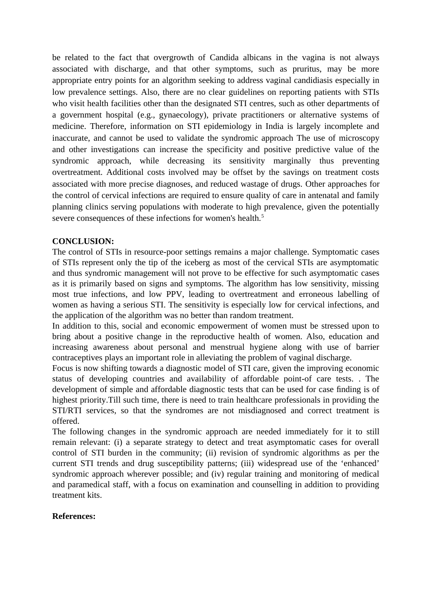be related to the fact that overgrowth of Candida albicans in the vagina is not always associated with discharge, and that other symptoms, such as pruritus, may be more appropriate entry points for an algorithm seeking to address vaginal candidiasis especially in low prevalence settings. Also, there are no clear guidelines on reporting patients with STIs who visit health facilities other than the designated STI centres, such as other departments of a government hospital (e.g., gynaecology), private practitioners or alternative systems of medicine. Therefore, information on STI epidemiology in India is largely incomplete and inaccurate, and cannot be used to validate the syndromic approach The use of microscopy and other investigations can increase the specificity and positive predictive value of the syndromic approach, while decreasing its sensitivity marginally thus preventing overtreatment. Additional costs involved may be offset by the savings on treatment costs associated with more precise diagnoses, and reduced wastage of drugs. Other approaches for the control of cervical infections are required to ensure quality of care in antenatal and family planning clinics serving populations with moderate to high prevalence, given the potentially severe consequences of these infections for women's health.<sup>5</sup>

# **CONCLUSION:**

The control of STIs in resource-poor settings remains a major challenge. Symptomatic cases of STIs represent only the tip of the iceberg as most of the cervical STIs are asymptomatic and thus syndromic management will not prove to be effective for such asymptomatic cases as it is primarily based on signs and symptoms. The algorithm has low sensitivity, missing most true infections, and low PPV, leading to overtreatment and erroneous labelling of women as having a serious STI. The sensitivity is especially low for cervical infections, and the application of the algorithm was no better than random treatment.

In addition to this, social and economic empowerment of women must be stressed upon to bring about a positive change in the reproductive health of women. Also, education and increasing awareness about personal and menstrual hygiene along with use of barrier contraceptives plays an important role in alleviating the problem of vaginal discharge.

Focus is now shifting towards a diagnostic model of STI care, given the improving economic status of developing countries and availability of affordable point-of care tests. . The development of simple and affordable diagnostic tests that can be used for case finding is of highest priority.Till such time, there is need to train healthcare professionals in providing the STI/RTI services, so that the syndromes are not misdiagnosed and correct treatment is offered.

The following changes in the syndromic approach are needed immediately for it to still remain relevant: (i) a separate strategy to detect and treat asymptomatic cases for overall control of STI burden in the community; (ii) revision of syndromic algorithms as per the current STI trends and drug susceptibility patterns; (iii) widespread use of the 'enhanced' syndromic approach wherever possible; and (iv) regular training and monitoring of medical and paramedical staff, with a focus on examination and counselling in addition to providing treatment kits.

#### **References:**